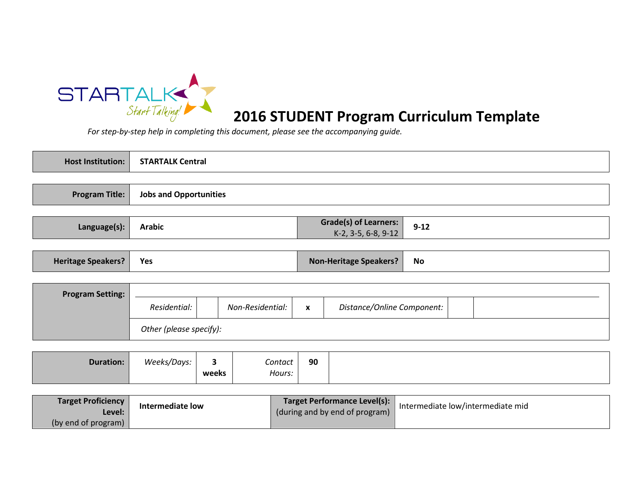

# 2016 STUDENT Program Curriculum Template

| <b>Host Institution:</b>  | <b>STARTALK Central</b>       |                                  |                   |                                                     |                            |  |  |
|---------------------------|-------------------------------|----------------------------------|-------------------|-----------------------------------------------------|----------------------------|--|--|
|                           |                               |                                  |                   |                                                     |                            |  |  |
| <b>Program Title:</b>     | <b>Jobs and Opportunities</b> |                                  |                   |                                                     |                            |  |  |
|                           |                               |                                  |                   |                                                     |                            |  |  |
| Language(s):              | <b>Arabic</b>                 |                                  |                   | <b>Grade(s) of Learners:</b><br>K-2, 3-5, 6-8, 9-12 | $9 - 12$                   |  |  |
|                           |                               |                                  |                   |                                                     |                            |  |  |
| <b>Heritage Speakers?</b> | Yes                           |                                  |                   | <b>Non-Heritage Speakers?</b>                       | <b>No</b>                  |  |  |
|                           |                               |                                  |                   |                                                     |                            |  |  |
| <b>Program Setting:</b>   |                               |                                  |                   |                                                     |                            |  |  |
|                           | Residential:                  |                                  | Non-Residential:  | $\boldsymbol{\mathsf{x}}$                           | Distance/Online Component: |  |  |
|                           | Other (please specify):       |                                  |                   |                                                     |                            |  |  |
|                           |                               |                                  |                   |                                                     |                            |  |  |
| <b>Duration:</b>          | Weeks/Days:                   | $\overline{\mathbf{3}}$<br>weeks | Contact<br>Hours: | 90                                                  |                            |  |  |
|                           |                               |                                  |                   |                                                     |                            |  |  |

| <b>Target Proficiency</b> | Intermediate low | Target Performance Level(s):                                         | Intermediate low/intermediate mid |
|---------------------------|------------------|----------------------------------------------------------------------|-----------------------------------|
| Level:                    |                  | $\left\vert$ (during and by end of program) $\left\vert \right\vert$ |                                   |
| (by end of program)       |                  |                                                                      |                                   |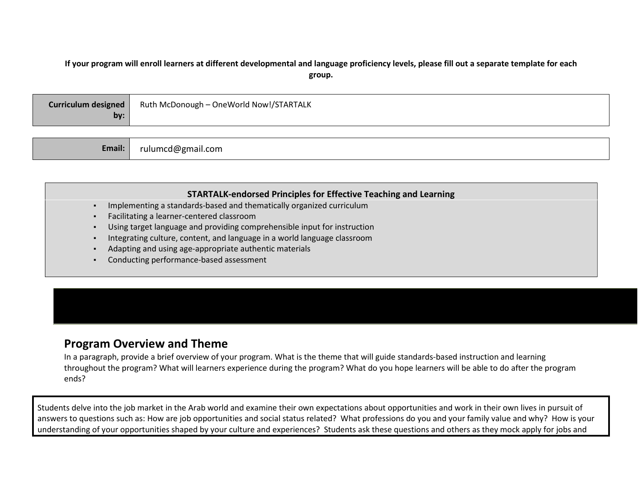#### If your program will enroll learners at different developmental and language proficiency levels, please fill out a separate template for each group.

| <b>Curriculum designed</b><br>by: | Ruth McDonough - OneWorld Now!/STARTALK |
|-----------------------------------|-----------------------------------------|
|                                   |                                         |

#### STARTALK-endorsed Principles for Effective Teaching and Learning

- ▪Implementing a standards-based and thematically organized curriculum
- ▪Facilitating a learner-centered classroom

rulumcd@gmail.com

- Using target language and providing comprehensible input for instruction▪
- Integrating culture, content, and language in a world language classroom▪
- ▪Adapting and using age-appropriate authentic materials
- ▪Conducting performance-based assessment

### Program Overview and Theme

Email:

 In a paragraph, provide a brief overview of your program. What is the theme that will guide standards-based instruction and learning throughout the program? What will learners experience during the program? What do you hope learners will be able to do after the program ends?

Students delve into the job market in the Arab world and examine their own expectations about opportunities and work in their own lives in pursuit of answers to questions such as: How are job opportunities and social status related? What professions do you and your family value and why? How is your understanding of your opportunities shaped by your culture and experiences? Students ask these questions and others as they mock apply for jobs and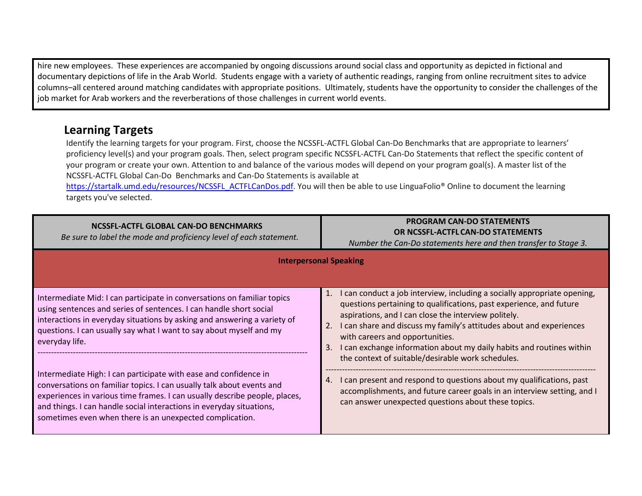hire new employees. These experiences are accompanied by ongoing discussions around social class and opportunity as depicted in fictional and documentary depictions of life in the Arab World. Students engage with a variety of authentic readings, ranging from online recruitment sites to advice columns–all centered around matching candidates with appropriate positions. Ultimately, students have the opportunity to consider the challenges of the job market for Arab workers and the reverberations of those challenges in current world events.

## Learning Targets

Identify the learning targets for your program. First, choose the NCSSFL-ACTFL Global Can-Do Benchmarks that are appropriate to learners' proficiency level(s) and your program goals. Then, select program specific NCSSFL-ACTFL Can-Do Statements that reflect the specific content of your program or create your own. Attention to and balance of the various modes will depend on your program goal(s). A master list of the NCSSFL-ACTFL Global Can-Do Benchmarks and Can-Do Statements is available at

https://startalk.umd.edu/resources/NCSSFL\_ACTFLCanDos.pdf. You will then be able to use LinguaFolio<sup>®</sup> Online to document the learning targets you've selected.

| NCSSFL-ACTFL GLOBAL CAN-DO BENCHMARKS<br>Be sure to label the mode and proficiency level of each statement.                                                                                                                                                                                                                                                 | <b>PROGRAM CAN-DO STATEMENTS</b><br>OR NCSSFL-ACTFL CAN-DO STATEMENTS<br>Number the Can-Do statements here and then transfer to Stage 3.                                                                                                                                                                                                                                                                                                                       |  |  |  |
|-------------------------------------------------------------------------------------------------------------------------------------------------------------------------------------------------------------------------------------------------------------------------------------------------------------------------------------------------------------|----------------------------------------------------------------------------------------------------------------------------------------------------------------------------------------------------------------------------------------------------------------------------------------------------------------------------------------------------------------------------------------------------------------------------------------------------------------|--|--|--|
| <b>Interpersonal Speaking</b>                                                                                                                                                                                                                                                                                                                               |                                                                                                                                                                                                                                                                                                                                                                                                                                                                |  |  |  |
| Intermediate Mid: I can participate in conversations on familiar topics<br>using sentences and series of sentences. I can handle short social<br>interactions in everyday situations by asking and answering a variety of<br>questions. I can usually say what I want to say about myself and my<br>everyday life.                                          | 1.<br>I can conduct a job interview, including a socially appropriate opening,<br>questions pertaining to qualifications, past experience, and future<br>aspirations, and I can close the interview politely.<br>I can share and discuss my family's attitudes about and experiences<br>2.<br>with careers and opportunities.<br>can exchange information about my daily habits and routines within<br>3.<br>the context of suitable/desirable work schedules. |  |  |  |
| Intermediate High: I can participate with ease and confidence in<br>conversations on familiar topics. I can usually talk about events and<br>experiences in various time frames. I can usually describe people, places,<br>and things. I can handle social interactions in everyday situations,<br>sometimes even when there is an unexpected complication. | can present and respond to questions about my qualifications, past<br>4.<br>accomplishments, and future career goals in an interview setting, and I<br>can answer unexpected questions about these topics.                                                                                                                                                                                                                                                     |  |  |  |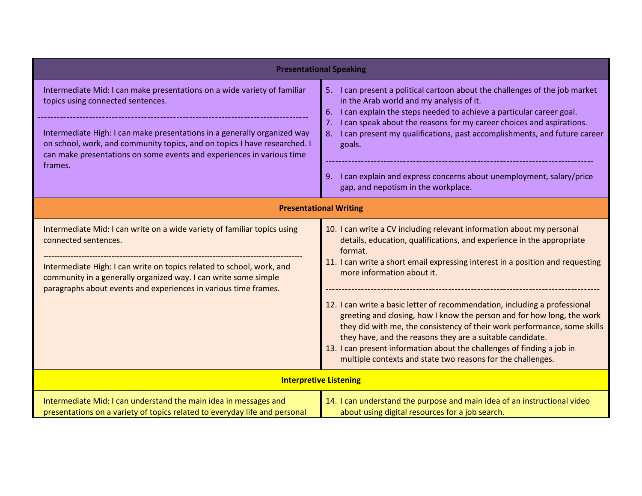| <b>Presentational Speaking</b>                                                                                                                                                                                                                                                                                                                             |                                                                                                                                                                                                                                                                                                                                                                                                                                                                                                                                                                                                                                                                                                                     |  |  |  |
|------------------------------------------------------------------------------------------------------------------------------------------------------------------------------------------------------------------------------------------------------------------------------------------------------------------------------------------------------------|---------------------------------------------------------------------------------------------------------------------------------------------------------------------------------------------------------------------------------------------------------------------------------------------------------------------------------------------------------------------------------------------------------------------------------------------------------------------------------------------------------------------------------------------------------------------------------------------------------------------------------------------------------------------------------------------------------------------|--|--|--|
| Intermediate Mid: I can make presentations on a wide variety of familiar<br>topics using connected sentences.<br>Intermediate High: I can make presentations in a generally organized way<br>on school, work, and community topics, and on topics I have researched. I<br>can make presentations on some events and experiences in various time<br>frames. | 5. I can present a political cartoon about the challenges of the job market<br>in the Arab world and my analysis of it.<br>I can explain the steps needed to achieve a particular career goal.<br>6.<br>I can speak about the reasons for my career choices and aspirations.<br>7.<br>I can present my qualifications, past accomplishments, and future career<br>8.<br>goals.<br>9. I can explain and express concerns about unemployment, salary/price<br>gap, and nepotism in the workplace.                                                                                                                                                                                                                     |  |  |  |
| <b>Presentational Writing</b>                                                                                                                                                                                                                                                                                                                              |                                                                                                                                                                                                                                                                                                                                                                                                                                                                                                                                                                                                                                                                                                                     |  |  |  |
| Intermediate Mid: I can write on a wide variety of familiar topics using<br>connected sentences.<br>Intermediate High: I can write on topics related to school, work, and<br>community in a generally organized way. I can write some simple<br>paragraphs about events and experiences in various time frames.                                            | 10. I can write a CV including relevant information about my personal<br>details, education, qualifications, and experience in the appropriate<br>format.<br>11. I can write a short email expressing interest in a position and requesting<br>more information about it.<br>12. I can write a basic letter of recommendation, including a professional<br>greeting and closing, how I know the person and for how long, the work<br>they did with me, the consistency of their work performance, some skills<br>they have, and the reasons they are a suitable candidate.<br>13. I can present information about the challenges of finding a job in<br>multiple contexts and state two reasons for the challenges. |  |  |  |
|                                                                                                                                                                                                                                                                                                                                                            | <b>Interpretive Listening</b>                                                                                                                                                                                                                                                                                                                                                                                                                                                                                                                                                                                                                                                                                       |  |  |  |
| Intermediate Mid: I can understand the main idea in messages and<br>presentations on a variety of topics related to everyday life and personal                                                                                                                                                                                                             | 14. I can understand the purpose and main idea of an instructional video<br>about using digital resources for a job search.                                                                                                                                                                                                                                                                                                                                                                                                                                                                                                                                                                                         |  |  |  |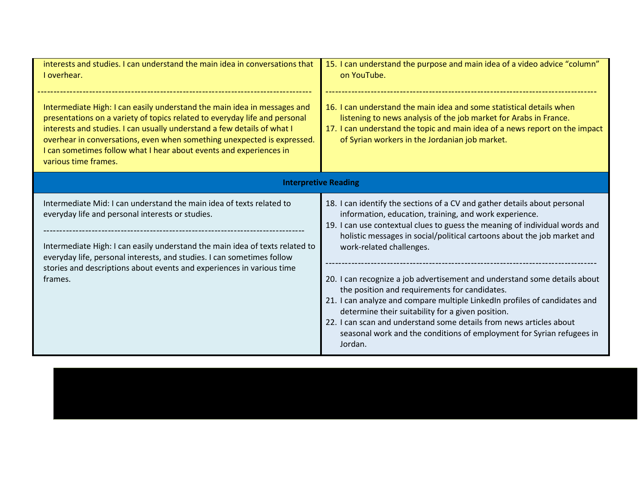| interests and studies. I can understand the main idea in conversations that<br>I overhear.                                                                                                                                                                                                                                                                                                                 | 15. I can understand the purpose and main idea of a video advice "column"<br>on YouTube.                                                                                                                                                                                                                                                                                                                                                                                                                                                                                                                                                                                                                                                              |  |
|------------------------------------------------------------------------------------------------------------------------------------------------------------------------------------------------------------------------------------------------------------------------------------------------------------------------------------------------------------------------------------------------------------|-------------------------------------------------------------------------------------------------------------------------------------------------------------------------------------------------------------------------------------------------------------------------------------------------------------------------------------------------------------------------------------------------------------------------------------------------------------------------------------------------------------------------------------------------------------------------------------------------------------------------------------------------------------------------------------------------------------------------------------------------------|--|
| Intermediate High: I can easily understand the main idea in messages and<br>presentations on a variety of topics related to everyday life and personal<br>interests and studies. I can usually understand a few details of what I<br>overhear in conversations, even when something unexpected is expressed.<br>I can sometimes follow what I hear about events and experiences in<br>various time frames. | 16. I can understand the main idea and some statistical details when<br>listening to news analysis of the job market for Arabs in France.<br>17. I can understand the topic and main idea of a news report on the impact<br>of Syrian workers in the Jordanian job market.                                                                                                                                                                                                                                                                                                                                                                                                                                                                            |  |
|                                                                                                                                                                                                                                                                                                                                                                                                            | <b>Interpretive Reading</b>                                                                                                                                                                                                                                                                                                                                                                                                                                                                                                                                                                                                                                                                                                                           |  |
| Intermediate Mid: I can understand the main idea of texts related to<br>everyday life and personal interests or studies.<br>Intermediate High: I can easily understand the main idea of texts related to<br>everyday life, personal interests, and studies. I can sometimes follow<br>stories and descriptions about events and experiences in various time<br>frames.                                     | 18. I can identify the sections of a CV and gather details about personal<br>information, education, training, and work experience.<br>19. I can use contextual clues to guess the meaning of individual words and<br>holistic messages in social/political cartoons about the job market and<br>work-related challenges.<br>20. I can recognize a job advertisement and understand some details about<br>the position and requirements for candidates.<br>21. I can analyze and compare multiple LinkedIn profiles of candidates and<br>determine their suitability for a given position.<br>22. I can scan and understand some details from news articles about<br>seasonal work and the conditions of employment for Syrian refugees in<br>Jordan. |  |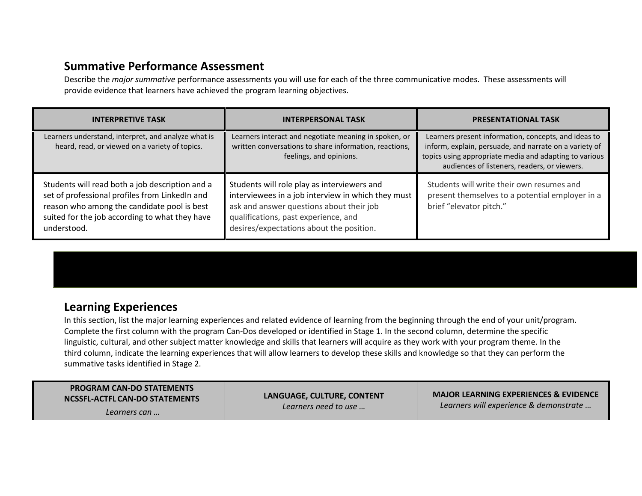## Summative Performance Assessment

Describe the major summative performance assessments you will use for each of the three communicative modes. These assessments will provide evidence that learners have achieved the program learning objectives.

| <b>INTERPRETIVE TASK</b>                                                                                                                                                                                          | <b>INTERPERSONAL TASK</b>                                                                                                                                                                                                         | <b>PRESENTATIONAL TASK</b>                                                                                                                                                                                               |
|-------------------------------------------------------------------------------------------------------------------------------------------------------------------------------------------------------------------|-----------------------------------------------------------------------------------------------------------------------------------------------------------------------------------------------------------------------------------|--------------------------------------------------------------------------------------------------------------------------------------------------------------------------------------------------------------------------|
| Learners understand, interpret, and analyze what is<br>heard, read, or viewed on a variety of topics.                                                                                                             | Learners interact and negotiate meaning in spoken, or<br>written conversations to share information, reactions,<br>feelings, and opinions.                                                                                        | Learners present information, concepts, and ideas to<br>inform, explain, persuade, and narrate on a variety of<br>topics using appropriate media and adapting to various<br>audiences of listeners, readers, or viewers. |
| Students will read both a job description and a<br>set of professional profiles from LinkedIn and<br>reason who among the candidate pool is best<br>suited for the job according to what they have<br>understood. | Students will role play as interviewers and<br>interviewees in a job interview in which they must<br>ask and answer questions about their job<br>qualifications, past experience, and<br>desires/expectations about the position. | Students will write their own resumes and<br>present themselves to a potential employer in a<br>brief "elevator pitch."                                                                                                  |

## Learning Experiences

 In this section, list the major learning experiences and related evidence of learning from the beginning through the end of your unit/program. Complete the first column with the program Can-Dos developed or identified in Stage 1. In the second column, determine the specific linguistic, cultural, and other subject matter knowledge and skills that learners will acquire as they work with your program theme. In the third column, indicate the learning experiences that will allow learners to develop these skills and knowledge so that they can perform the summative tasks identified in Stage 2.

| <b>MAJOR LEARNING EXPERIENCES &amp; EVIDENCE</b><br>LANGUAGE, CULTURE, CONTENT<br>NCSSFL-ACTFL CAN-DO STATEMENTS<br>Learners will experience & demonstrate<br>Learners need to use<br>Learners can |  |
|----------------------------------------------------------------------------------------------------------------------------------------------------------------------------------------------------|--|
|----------------------------------------------------------------------------------------------------------------------------------------------------------------------------------------------------|--|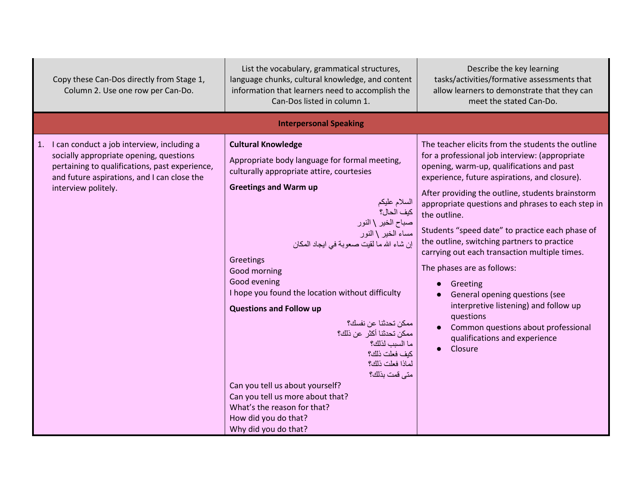| Copy these Can-Dos directly from Stage 1,<br>Column 2. Use one row per Can-Do.                                                                                                                                   | List the vocabulary, grammatical structures,<br>language chunks, cultural knowledge, and content<br>information that learners need to accomplish the<br>Can-Dos listed in column 1.                                                                                                                                                                                                                                                                                                                                                                                                                                                                                                                | Describe the key learning<br>tasks/activities/formative assessments that<br>allow learners to demonstrate that they can<br>meet the stated Can-Do.                                                                                                                                                                                                                                                                                                                                                                                                                                                                                                                                                              |
|------------------------------------------------------------------------------------------------------------------------------------------------------------------------------------------------------------------|----------------------------------------------------------------------------------------------------------------------------------------------------------------------------------------------------------------------------------------------------------------------------------------------------------------------------------------------------------------------------------------------------------------------------------------------------------------------------------------------------------------------------------------------------------------------------------------------------------------------------------------------------------------------------------------------------|-----------------------------------------------------------------------------------------------------------------------------------------------------------------------------------------------------------------------------------------------------------------------------------------------------------------------------------------------------------------------------------------------------------------------------------------------------------------------------------------------------------------------------------------------------------------------------------------------------------------------------------------------------------------------------------------------------------------|
|                                                                                                                                                                                                                  | <b>Interpersonal Speaking</b>                                                                                                                                                                                                                                                                                                                                                                                                                                                                                                                                                                                                                                                                      |                                                                                                                                                                                                                                                                                                                                                                                                                                                                                                                                                                                                                                                                                                                 |
| 1. I can conduct a job interview, including a<br>socially appropriate opening, questions<br>pertaining to qualifications, past experience,<br>and future aspirations, and I can close the<br>interview politely. | <b>Cultural Knowledge</b><br>Appropriate body language for formal meeting,<br>culturally appropriate attire, courtesies<br><b>Greetings and Warm up</b><br>السلام عليكم<br>كيف الحال؟<br>صباح الخير \ النور<br>مساء الخير \ النور<br>إن شاء الله ما لقيت صعوبة في ايجاد المكان<br>Greetings<br>Good morning<br>Good evening<br>I hope you found the location without difficulty<br><b>Questions and Follow up</b><br>ممكن تحدثنا عن نفسك؟<br>ممكن تحدثنا أكثر عن ذلك؟<br>ما السبب لذلك؟<br>كيف فعلت ذلك؟<br>لماذا فعلت ذلك؟<br>متى قمت بذلك؟<br>Can you tell us about yourself?<br>Can you tell us more about that?<br>What's the reason for that?<br>How did you do that?<br>Why did you do that? | The teacher elicits from the students the outline<br>for a professional job interview: (appropriate<br>opening, warm-up, qualifications and past<br>experience, future aspirations, and closure).<br>After providing the outline, students brainstorm<br>appropriate questions and phrases to each step in<br>the outline.<br>Students "speed date" to practice each phase of<br>the outline, switching partners to practice<br>carrying out each transaction multiple times.<br>The phases are as follows:<br>Greeting<br>General opening questions (see<br>interpretive listening) and follow up<br>questions<br>Common questions about professional<br>$\bullet$<br>qualifications and experience<br>Closure |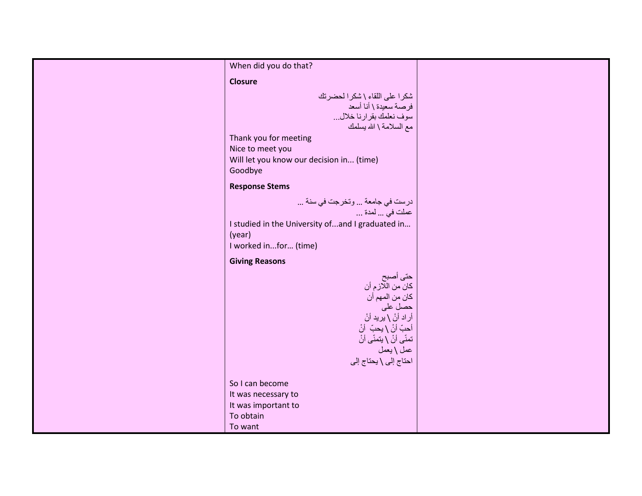| When did you do that?                                                                                                                                                                                                                                                                                                                         |  |
|-----------------------------------------------------------------------------------------------------------------------------------------------------------------------------------------------------------------------------------------------------------------------------------------------------------------------------------------------|--|
| <b>Closure</b>                                                                                                                                                                                                                                                                                                                                |  |
| شكرا على اللقاء \ شكرا لحضرتك<br>فرصة سعيدة \ أنا أسعد<br>سوف نعلمك بقرارنا خلال<br>مع السلامة \ الله بسلمك<br>Thank you for meeting<br>Nice to meet you<br>Will let you know our decision in (time)<br>Goodbye                                                                                                                               |  |
| <b>Response Stems</b>                                                                                                                                                                                                                                                                                                                         |  |
| درست في جامعة  وتخرجت في سنة<br>عملت في  لمدة<br>I studied in the University of  and I graduated in<br>(year)<br>I worked infor (time)<br><b>Giving Reasons</b><br>حتى أصبح<br>كان من اللازم أن<br>كان من المهم أن<br>حصل على<br>أر اد أنْ \ يريد أنْ<br>أحبّ أنْ \ يحبّ أنْ<br>تمنّى أنْ \ يتمنّى أنْ<br>عمل \ يعمل<br>احتاج إلى \ يحتاج إلى |  |
| So I can become<br>It was necessary to<br>It was important to<br>To obtain<br>To want                                                                                                                                                                                                                                                         |  |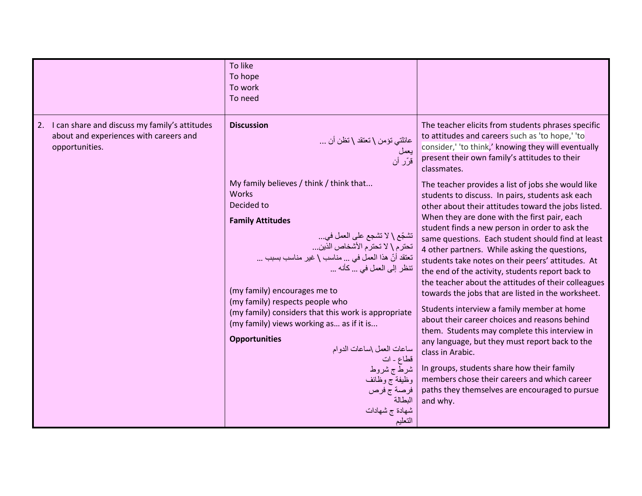|                                                                                                              | To like<br>To hope<br>To work<br>To need                                                                                                                                                                                                                                                                                                                                                                                                                                                                                                                                       |                                                                                                                                                                                                                                                                                                                                                                                                                                                                                                                                                                                                                                                                                                                                                                                                                                                                                                                                                                               |
|--------------------------------------------------------------------------------------------------------------|--------------------------------------------------------------------------------------------------------------------------------------------------------------------------------------------------------------------------------------------------------------------------------------------------------------------------------------------------------------------------------------------------------------------------------------------------------------------------------------------------------------------------------------------------------------------------------|-------------------------------------------------------------------------------------------------------------------------------------------------------------------------------------------------------------------------------------------------------------------------------------------------------------------------------------------------------------------------------------------------------------------------------------------------------------------------------------------------------------------------------------------------------------------------------------------------------------------------------------------------------------------------------------------------------------------------------------------------------------------------------------------------------------------------------------------------------------------------------------------------------------------------------------------------------------------------------|
| 2. I can share and discuss my family's attitudes<br>about and experiences with careers and<br>opportunities. | <b>Discussion</b><br>عائلتي تؤمن \ نعتقد \ نظن أن<br>يعمل<br>قرّر أن                                                                                                                                                                                                                                                                                                                                                                                                                                                                                                           | The teacher elicits from students phrases specific<br>to attitudes and careers such as 'to hope,' 'to<br>consider,' 'to think,' knowing they will eventually<br>present their own family's attitudes to their<br>classmates.                                                                                                                                                                                                                                                                                                                                                                                                                                                                                                                                                                                                                                                                                                                                                  |
|                                                                                                              | My family believes / think / think that<br><b>Works</b><br>Decided to<br><b>Family Attitudes</b><br>تشجّع \ لا تشجع على العمل في<br>تحترم \ لا تحترم الأشخاص الذين<br>تعتقد أنّ هذا العملُ في  مناسب \ غير مناسب بسبب<br>تنظر إلى العمل في  كأنه<br>(my family) encourages me to<br>(my family) respects people who<br>(my family) considers that this work is appropriate<br>(my family) views working as as if it is<br><b>Opportunities</b><br>ساعات العمل \ساعات الدوام<br>قطاع - ات<br>شرطّ ج شروط<br>وظيفة ج وظائف<br>فرصة ج فرص<br>المطالة<br>شهادة ج شهادات<br>التعليم | The teacher provides a list of jobs she would like<br>students to discuss. In pairs, students ask each<br>other about their attitudes toward the jobs listed.<br>When they are done with the first pair, each<br>student finds a new person in order to ask the<br>same questions. Each student should find at least<br>4 other partners. While asking the questions,<br>students take notes on their peers' attitudes. At<br>the end of the activity, students report back to<br>the teacher about the attitudes of their colleagues<br>towards the jobs that are listed in the worksheet.<br>Students interview a family member at home<br>about their career choices and reasons behind<br>them. Students may complete this interview in<br>any language, but they must report back to the<br>class in Arabic.<br>In groups, students share how their family<br>members chose their careers and which career<br>paths they themselves are encouraged to pursue<br>and why. |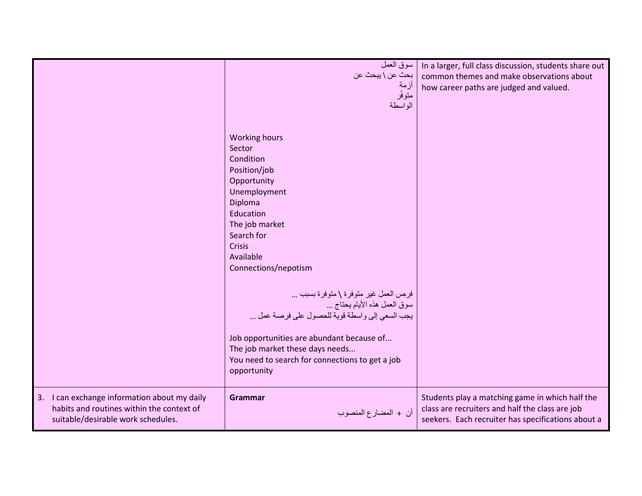|                                                                                                                                 | سوق العمل<br>بحثٌ عن \ يبحث عن<br>أزمة<br>متوفّر<br>الواسطة                                                                                                                                                                                                                                                                                                                                                                                                                    | In a larger, full class discussion, students share out<br>common themes and make observations about<br>how career paths are judged and valued.           |
|---------------------------------------------------------------------------------------------------------------------------------|--------------------------------------------------------------------------------------------------------------------------------------------------------------------------------------------------------------------------------------------------------------------------------------------------------------------------------------------------------------------------------------------------------------------------------------------------------------------------------|----------------------------------------------------------------------------------------------------------------------------------------------------------|
|                                                                                                                                 | <b>Working hours</b><br>Sector<br>Condition<br>Position/job<br>Opportunity<br>Unemployment<br>Diploma<br>Education<br>The job market<br>Search for<br><b>Crisis</b><br>Available<br>Connections/nepotism<br>فرص العمل غير متوفرة \ متوفرة بسبب<br>سوق العمل هذه الأيام يحتاج<br>يجب السعي إلى واسطة قوية للحصول على فرصة عمل<br>Job opportunities are abundant because of<br>The job market these days needs<br>You need to search for connections to get a job<br>opportunity |                                                                                                                                                          |
| 3. I can exchange information about my daily<br>habits and routines within the context of<br>suitable/desirable work schedules. | Grammar<br>أن + المضارع المنصوب                                                                                                                                                                                                                                                                                                                                                                                                                                                | Students play a matching game in which half the<br>class are recruiters and half the class are job<br>seekers. Each recruiter has specifications about a |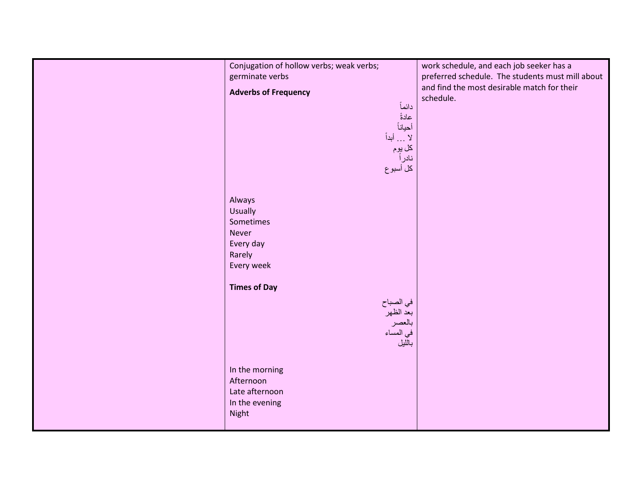| Conjugation of hollow verbs; weak verbs;<br>germinate verbs | work schedule, and each job seeker has a<br>preferred schedule. The students must mill about |
|-------------------------------------------------------------|----------------------------------------------------------------------------------------------|
| <b>Adverbs of Frequency</b>                                 | and find the most desirable match for their<br>schedule.                                     |
| دائماً<br>عادةً                                             |                                                                                              |
| أحياناً<br>لا  أبداً                                        |                                                                                              |
| كل يوم<br>نادر أ                                            |                                                                                              |
| كل أسبوع                                                    |                                                                                              |
|                                                             |                                                                                              |
| Always<br><b>Usually</b>                                    |                                                                                              |
| Sometimes<br><b>Never</b>                                   |                                                                                              |
| Every day                                                   |                                                                                              |
| Rarely<br>Every week                                        |                                                                                              |
| <b>Times of Day</b>                                         |                                                                                              |
| في الصباح<br>بعد الظهر                                      |                                                                                              |
| بالعصر                                                      |                                                                                              |
| في المساء<br>بالليل                                         |                                                                                              |
|                                                             |                                                                                              |
| In the morning<br>Afternoon                                 |                                                                                              |
| Late afternoon<br>In the evening                            |                                                                                              |
| Night                                                       |                                                                                              |
|                                                             |                                                                                              |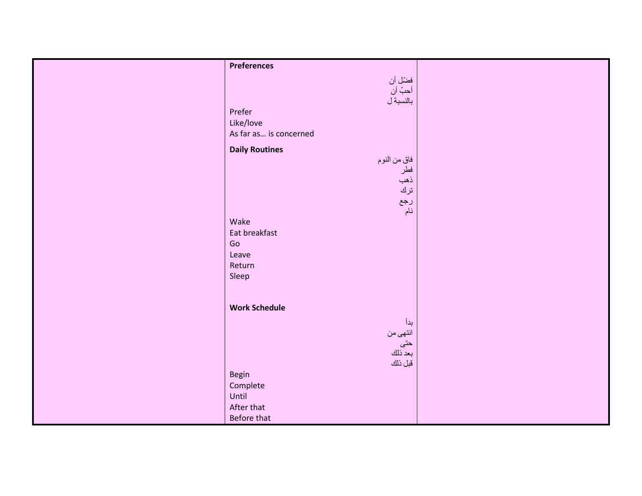| <b>Preferences</b>                |  |
|-----------------------------------|--|
|                                   |  |
| فضّل أن<br>أحبّ أن<br>بالنسبة ل   |  |
|                                   |  |
| Prefer                            |  |
| Like/love                         |  |
| As far as is concerned            |  |
|                                   |  |
| <b>Daily Routines</b>             |  |
| فاق من النوم<br>فطر<br>ذهب<br>ترك |  |
|                                   |  |
|                                   |  |
|                                   |  |
| رجع                               |  |
| نام                               |  |
| Wake                              |  |
| Eat breakfast                     |  |
| Go                                |  |
| Leave                             |  |
| Return                            |  |
| Sleep                             |  |
|                                   |  |
|                                   |  |
| <b>Work Schedule</b>              |  |
| بدأ                               |  |
| انتهى من                          |  |
|                                   |  |
| حتى<br>بعد ذلك                    |  |
| قبل ذلك                           |  |
| Begin                             |  |
| Complete                          |  |
| Until                             |  |
| After that                        |  |
| Before that                       |  |
|                                   |  |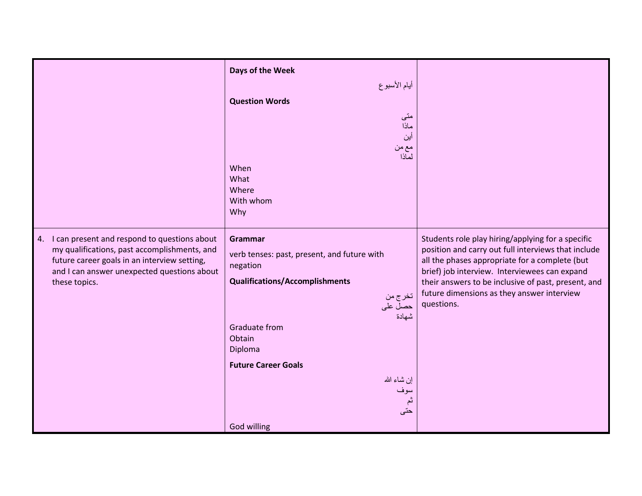|                                                                                                                                                                                                                 | أيام الأسبوع<br><b>Question Words</b><br>متى<br>ماذا<br>أين<br>مع من<br>لمآذا<br>When<br>What<br>Where<br>With whom<br>Why                                                                                                                                       |                                                                                                                                                                                                                                                                                                                                |
|-----------------------------------------------------------------------------------------------------------------------------------------------------------------------------------------------------------------|------------------------------------------------------------------------------------------------------------------------------------------------------------------------------------------------------------------------------------------------------------------|--------------------------------------------------------------------------------------------------------------------------------------------------------------------------------------------------------------------------------------------------------------------------------------------------------------------------------|
| 4. I can present and respond to questions about<br>my qualifications, past accomplishments, and<br>future career goals in an interview setting,<br>and I can answer unexpected questions about<br>these topics. | Grammar<br>verb tenses: past, present, and future with<br>negation<br><b>Qualifications/Accomplishments</b><br>تخرج من<br>حصل على<br>شهادة<br><b>Graduate from</b><br>Obtain<br>Diploma<br><b>Future Career Goals</b><br>إن شاء الله<br>سوف<br>ثم<br>God willing | Students role play hiring/applying for a specific<br>position and carry out full interviews that include<br>all the phases appropriate for a complete (but<br>brief) job interview. Interviewees can expand<br>their answers to be inclusive of past, present, and<br>future dimensions as they answer interview<br>questions. |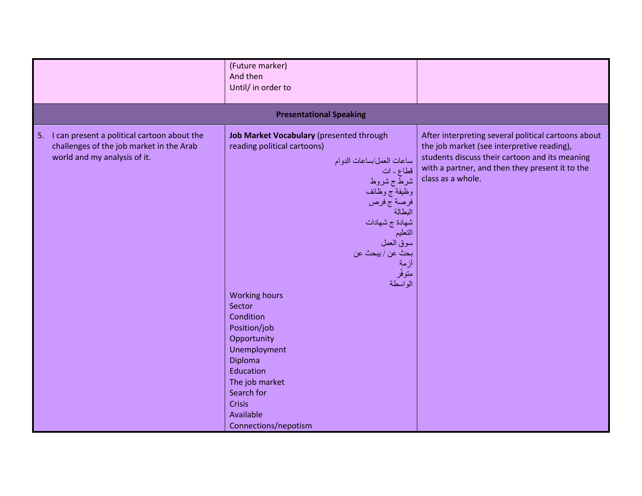|                                                                                                                               | (Future marker)<br>And then<br>Until/ in order to                                                                                                                                                                                                                                                                                                                                                                                                                                |                                                                                                                                                                                                                             |
|-------------------------------------------------------------------------------------------------------------------------------|----------------------------------------------------------------------------------------------------------------------------------------------------------------------------------------------------------------------------------------------------------------------------------------------------------------------------------------------------------------------------------------------------------------------------------------------------------------------------------|-----------------------------------------------------------------------------------------------------------------------------------------------------------------------------------------------------------------------------|
|                                                                                                                               | <b>Presentational Speaking</b>                                                                                                                                                                                                                                                                                                                                                                                                                                                   |                                                                                                                                                                                                                             |
| I can present a political cartoon about the<br>5.<br>challenges of the job market in the Arab<br>world and my analysis of it. | Job Market Vocabulary (presented through<br>reading political cartoons)<br>ساعات العمل/ساعات الدوام<br>قطاع ـ ات<br>شرط ج شروط<br>وظيفة ج وظائف<br>فرصة ج فرص<br>البطالة<br>شهادة ج شهادات<br>التعليم<br>سوق العمل<br>بحث عن / يبحث عن<br>أزمة<br>متوفّر<br>الو اسطة<br><b>Working hours</b><br>Sector<br>Condition<br>Position/job<br>Opportunity<br>Unemployment<br>Diploma<br>Education<br>The job market<br>Search for<br><b>Crisis</b><br>Available<br>Connections/nepotism | After interpreting several political cartoons about<br>the job market (see interpretive reading),<br>students discuss their cartoon and its meaning<br>with a partner, and then they present it to the<br>class as a whole. |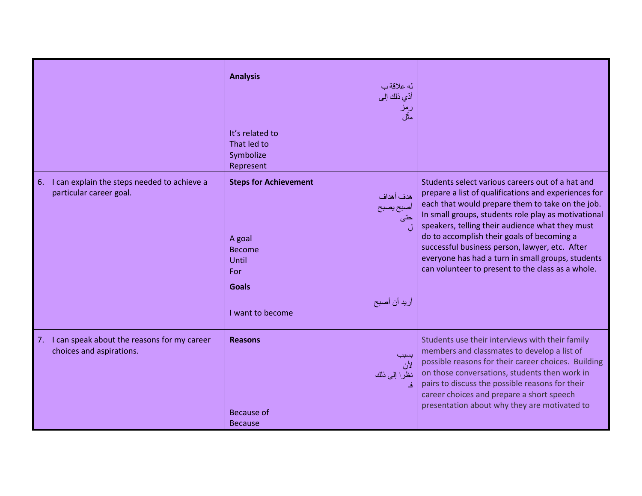|                                                                              | <b>Analysis</b><br>له علاقةب<br>أدّي ذلك إلى<br>رمز<br>مثّل                                                       |                                                                                                                                                                                                                                                                                                                                                                                                                                                                                  |
|------------------------------------------------------------------------------|-------------------------------------------------------------------------------------------------------------------|----------------------------------------------------------------------------------------------------------------------------------------------------------------------------------------------------------------------------------------------------------------------------------------------------------------------------------------------------------------------------------------------------------------------------------------------------------------------------------|
|                                                                              | It's related to<br>That led to<br>Symbolize<br>Represent                                                          |                                                                                                                                                                                                                                                                                                                                                                                                                                                                                  |
| I can explain the steps needed to achieve a<br>6.<br>particular career goal. | <b>Steps for Achievement</b><br>هدف أهداف<br>أصبح يصبح<br>A goal<br><b>Become</b><br>Until<br>For<br><b>Goals</b> | Students select various careers out of a hat and<br>prepare a list of qualifications and experiences for<br>each that would prepare them to take on the job.<br>In small groups, students role play as motivational<br>speakers, telling their audience what they must<br>do to accomplish their goals of becoming a<br>successful business person, lawyer, etc. After<br>everyone has had a turn in small groups, students<br>can volunteer to present to the class as a whole. |
|                                                                              | أريد أن أصبح<br>I want to become                                                                                  |                                                                                                                                                                                                                                                                                                                                                                                                                                                                                  |
| 7. I can speak about the reasons for my career<br>choices and aspirations.   | <b>Reasons</b><br>لأن<br>نظرا إلى ذلك<br>Because of<br><b>Because</b>                                             | Students use their interviews with their family<br>members and classmates to develop a list of<br>possible reasons for their career choices. Building<br>on those conversations, students then work in<br>pairs to discuss the possible reasons for their<br>career choices and prepare a short speech<br>presentation about why they are motivated to                                                                                                                           |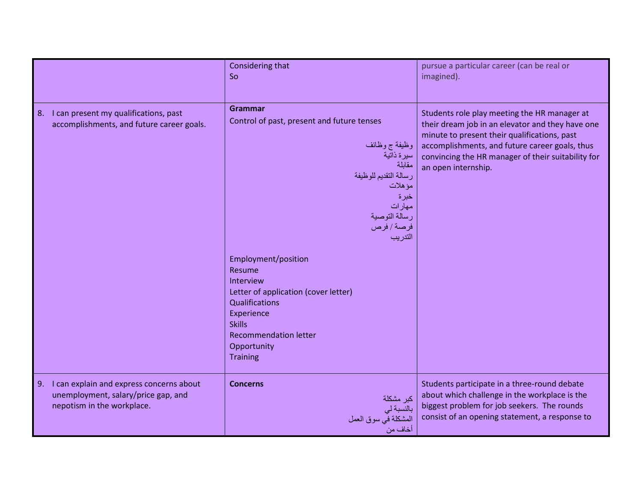|                                                                                                                     | Considering that<br>So                                                                                                                                                                                                                                                                                                                                                                                 | pursue a particular career (can be real or<br>imagined).                                                                                                                                                                                                                        |
|---------------------------------------------------------------------------------------------------------------------|--------------------------------------------------------------------------------------------------------------------------------------------------------------------------------------------------------------------------------------------------------------------------------------------------------------------------------------------------------------------------------------------------------|---------------------------------------------------------------------------------------------------------------------------------------------------------------------------------------------------------------------------------------------------------------------------------|
| 8. I can present my qualifications, past<br>accomplishments, and future career goals.                               | Grammar<br>Control of past, present and future tenses<br>وظيفة ج وظائف<br>سيرة ذاتية<br>مقابلة<br>رسالة التقديم للوظيفة<br>مؤهلات<br>خبرة<br>مهارات<br>رسالة التوصية<br>فرصة / فرص<br>التدريب<br>Employment/position<br>Resume<br>Interview<br>Letter of application (cover letter)<br>Qualifications<br>Experience<br><b>Skills</b><br><b>Recommendation letter</b><br>Opportunity<br><b>Training</b> | Students role play meeting the HR manager at<br>their dream job in an elevator and they have one<br>minute to present their qualifications, past<br>accomplishments, and future career goals, thus<br>convincing the HR manager of their suitability for<br>an open internship. |
| I can explain and express concerns about<br>9.<br>unemployment, salary/price gap, and<br>nepotism in the workplace. | <b>Concerns</b><br>كبر مشكلة<br>بالنسبة لي<br>المشكلة في سوق العمل<br>أخاف من                                                                                                                                                                                                                                                                                                                          | Students participate in a three-round debate<br>about which challenge in the workplace is the<br>biggest problem for job seekers. The rounds<br>consist of an opening statement, a response to                                                                                  |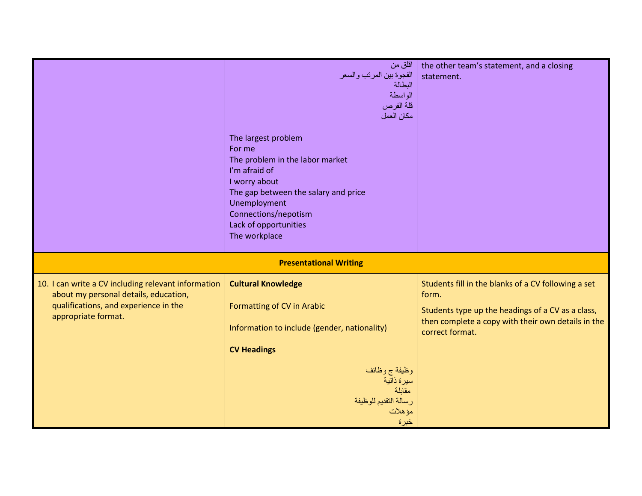|                                                                                                                                                              | اقلق من<br>الفجوة بين المرتب والسعر<br>البطالة<br>الواسطة<br>قلة الفرص<br>مكان العمل<br>The largest problem<br>For me<br>The problem in the labor market<br>I'm afraid of<br>I worry about<br>The gap between the salary and price<br>Unemployment<br>Connections/nepotism<br>Lack of opportunities<br>The workplace | the other team's statement, and a closing<br>statement.                                                                                                                                    |
|--------------------------------------------------------------------------------------------------------------------------------------------------------------|----------------------------------------------------------------------------------------------------------------------------------------------------------------------------------------------------------------------------------------------------------------------------------------------------------------------|--------------------------------------------------------------------------------------------------------------------------------------------------------------------------------------------|
|                                                                                                                                                              | <b>Presentational Writing</b>                                                                                                                                                                                                                                                                                        |                                                                                                                                                                                            |
| 10. I can write a CV including relevant information<br>about my personal details, education,<br>qualifications, and experience in the<br>appropriate format. | <b>Cultural Knowledge</b><br>Formatting of CV in Arabic<br>Information to include (gender, nationality)<br><b>CV Headings</b><br>وظيفة ج وظائف<br>سيرة ذاتية<br>مقابلة<br>رسالة التقديم للوظيفة<br>مؤهلات<br>خبرة                                                                                                    | Students fill in the blanks of a CV following a set<br>form.<br>Students type up the headings of a CV as a class,<br>then complete a copy with their own details in the<br>correct format. |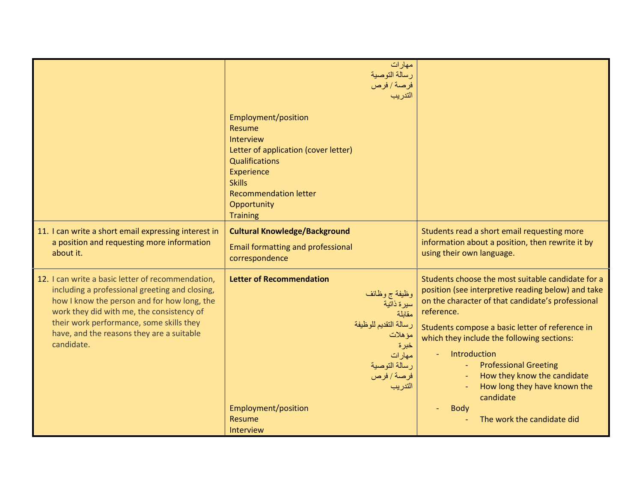|                                                                                                                                                                                                                                                                                                        | مهار ات<br>رسالة التوصية<br>فرصة / فرص<br>التدريب                                                                                                                                                                     |                                                                                                                                                                                                                                                                                                                                                                                                                                                      |
|--------------------------------------------------------------------------------------------------------------------------------------------------------------------------------------------------------------------------------------------------------------------------------------------------------|-----------------------------------------------------------------------------------------------------------------------------------------------------------------------------------------------------------------------|------------------------------------------------------------------------------------------------------------------------------------------------------------------------------------------------------------------------------------------------------------------------------------------------------------------------------------------------------------------------------------------------------------------------------------------------------|
|                                                                                                                                                                                                                                                                                                        | Employment/position<br>Resume<br>Interview<br>Letter of application (cover letter)<br><b>Qualifications</b><br>Experience<br><b>Skills</b><br><b>Recommendation letter</b><br>Opportunity<br><b>Training</b>          |                                                                                                                                                                                                                                                                                                                                                                                                                                                      |
| 11. I can write a short email expressing interest in<br>a position and requesting more information<br>about it.                                                                                                                                                                                        | <b>Cultural Knowledge/Background</b><br><b>Email formatting and professional</b><br>correspondence                                                                                                                    | Students read a short email requesting more<br>information about a position, then rewrite it by<br>using their own language.                                                                                                                                                                                                                                                                                                                         |
| 12. I can write a basic letter of recommendation,<br>including a professional greeting and closing,<br>how I know the person and for how long, the<br>work they did with me, the consistency of<br>their work performance, some skills they<br>have, and the reasons they are a suitable<br>candidate. | <b>Letter of Recommendation</b><br>وظيفة ج وظائف<br>سيرة ذاتية<br>مقابلة<br>رسالة التقديم للوظيفة<br>مؤهلات<br>خبرة<br>مهارات<br>رسالة التوصية<br>فرصة / فرص<br>التدريب<br>Employment/position<br>Resume<br>Interview | Students choose the most suitable candidate for a<br>position (see interpretive reading below) and take<br>on the character of that candidate's professional<br>reference.<br>Students compose a basic letter of reference in<br>which they include the following sections:<br>Introduction<br><b>Professional Greeting</b><br>How they know the candidate<br>How long they have known the<br>candidate<br><b>Body</b><br>The work the candidate did |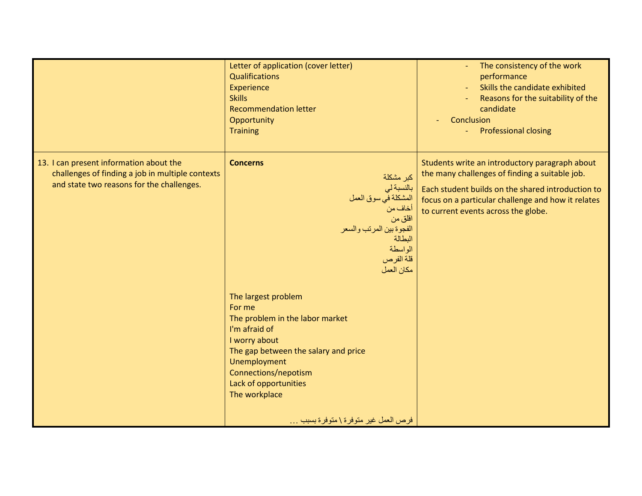|                                                                                                                                          | Letter of application (cover letter)<br><b>Qualifications</b><br>Experience<br><b>Skills</b><br><b>Recommendation letter</b><br>Opportunity<br><b>Training</b>                                                                                                                                                                                                                                                                              | The consistency of the work<br>performance<br>Skills the candidate exhibited<br>Reasons for the suitability of the<br>candidate<br>Conclusion<br><b>Professional closing</b>                                                                       |
|------------------------------------------------------------------------------------------------------------------------------------------|---------------------------------------------------------------------------------------------------------------------------------------------------------------------------------------------------------------------------------------------------------------------------------------------------------------------------------------------------------------------------------------------------------------------------------------------|----------------------------------------------------------------------------------------------------------------------------------------------------------------------------------------------------------------------------------------------------|
| 13. I can present information about the<br>challenges of finding a job in multiple contexts<br>and state two reasons for the challenges. | <b>Concerns</b><br>كبر مشكلة<br>بالنسبة لي<br>المشكلة في سوق العمل<br>أخاف من<br>اقلق من<br>الفجوة بين المرتب والسعر<br>البطالة<br>الواسطة<br>قلة الفرص<br>مكان العمل<br>The largest problem<br>For me<br>The problem in the labor market<br>I'm afraid of<br>I worry about<br>The gap between the salary and price<br>Unemployment<br>Connections/nepotism<br>Lack of opportunities<br>The workplace<br>فرص العمل غير متوفرة \ متوفرة بسبب | Students write an introductory paragraph about<br>the many challenges of finding a suitable job.<br>Each student builds on the shared introduction to<br>focus on a particular challenge and how it relates<br>to current events across the globe. |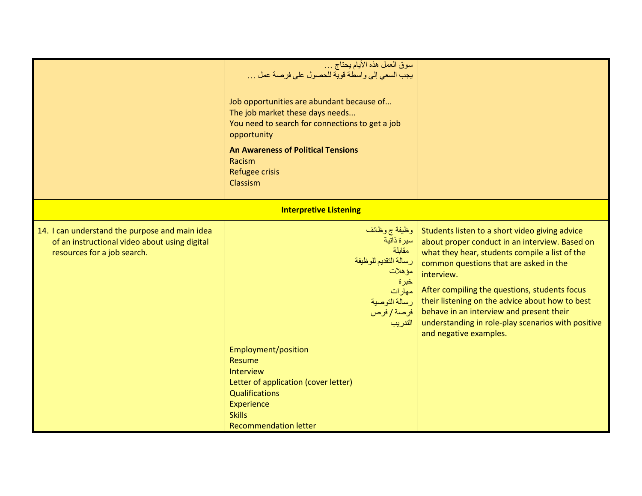|                                                                                                                                | سوق العمل هذه الأيام يحتاج<br>يجب السعي إلى واسطة قوية للحصول على فرصة عمل<br>Job opportunities are abundant because of<br>The job market these days needs<br>You need to search for connections to get a job<br>opportunity<br><b>An Awareness of Political Tensions</b><br>Racism<br>Refugee crisis<br>Classism |                                                                                                                                                                                                                                                                                                                                                                                                                                                            |
|--------------------------------------------------------------------------------------------------------------------------------|-------------------------------------------------------------------------------------------------------------------------------------------------------------------------------------------------------------------------------------------------------------------------------------------------------------------|------------------------------------------------------------------------------------------------------------------------------------------------------------------------------------------------------------------------------------------------------------------------------------------------------------------------------------------------------------------------------------------------------------------------------------------------------------|
|                                                                                                                                | <b>Interpretive Listening</b>                                                                                                                                                                                                                                                                                     |                                                                                                                                                                                                                                                                                                                                                                                                                                                            |
| 14. I can understand the purpose and main idea<br>of an instructional video about using digital<br>resources for a job search. | وظَيْفَة ج وظَائِف<br>سيرة ذاتية<br>مقابلة<br>رسالة التقديم للوظيفة<br>مؤهلات<br>خبرة<br>مهارات<br>  فرصة/فرص<br>التدريب<br>Employment/position<br>Resume<br>Interview<br>Letter of application (cover letter)<br><b>Qualifications</b><br>Experience<br><b>Skills</b><br><b>Recommendation letter</b>            | Students listen to a short video giving advice<br>about proper conduct in an interview. Based on<br>what they hear, students compile a list of the<br>common questions that are asked in the<br>interview.<br>After compiling the questions, students focus<br>رسالة التوصية   their listening on the advice about how to best<br>behave in an interview and present their<br>understanding in role-play scenarios with positive<br>and negative examples. |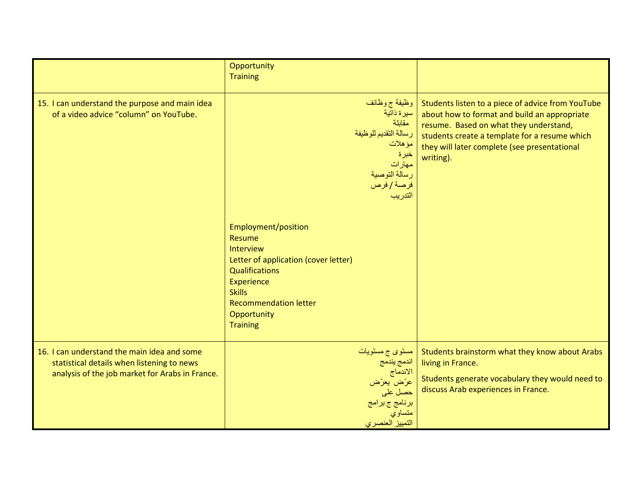|                                                                                                                                              | Opportunity<br><b>Training</b>                                                                                                                                                                               |                                                                                                                                                                                                                                                           |
|----------------------------------------------------------------------------------------------------------------------------------------------|--------------------------------------------------------------------------------------------------------------------------------------------------------------------------------------------------------------|-----------------------------------------------------------------------------------------------------------------------------------------------------------------------------------------------------------------------------------------------------------|
| 15. I can understand the purpose and main idea<br>of a video advice "column" on YouTube.                                                     | وظيفة ج وظائف<br>سيرة ذاتية<br>مقابلة<br>رسالة التقديم للوظيفة<br>مؤهلات<br>خبرة<br>مهارات<br>رسالة التوصية<br>فرصة/فرص<br>التدريب                                                                           | Students listen to a piece of advice from YouTube<br>about how to format and build an appropriate<br>resume. Based on what they understand,<br>students create a template for a resume which<br>they will later complete (see presentational<br>writing). |
|                                                                                                                                              | Employment/position<br>Resume<br>Interview<br>Letter of application (cover letter)<br><b>Qualifications</b><br>Experience<br><b>Skills</b><br><b>Recommendation letter</b><br>Opportunity<br><b>Training</b> |                                                                                                                                                                                                                                                           |
| 16. I can understand the main idea and some<br>statistical details when listening to news<br>analysis of the job market for Arabs in France. | مستوی ج مستویات<br>اندمج يندمج<br>الاندماج<br>عرّض يعرّض<br>حصل على<br>برنامج ج برامج<br>متساوي<br>التمييز العنصرى                                                                                           | Students brainstorm what they know about Arabs<br>living in France.<br>Students generate vocabulary they would need to<br>discuss Arab experiences in France.                                                                                             |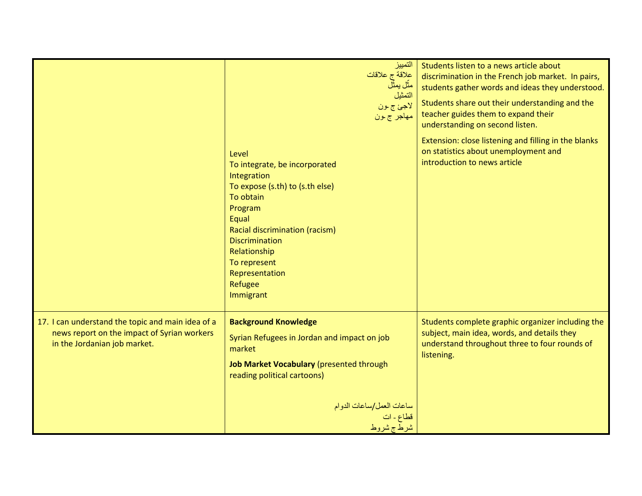|                                                                                                                                  | التمييز<br>علاقة ج علاقات<br>مثّل يمثّلُ<br>التمثيل<br>لأجئ ج ون<br>مهاجر ج ون                                                                                                                                                                                 | Students listen to a news article about<br>discrimination in the French job market. In pairs,<br>students gather words and ideas they understood.<br>Students share out their understanding and the<br>teacher guides them to expand their<br>understanding on second listen. |
|----------------------------------------------------------------------------------------------------------------------------------|----------------------------------------------------------------------------------------------------------------------------------------------------------------------------------------------------------------------------------------------------------------|-------------------------------------------------------------------------------------------------------------------------------------------------------------------------------------------------------------------------------------------------------------------------------|
|                                                                                                                                  | Level<br>To integrate, be incorporated<br>Integration<br>To expose (s.th) to (s.th else)<br>To obtain<br>Program<br>Equal<br>Racial discrimination (racism)<br><b>Discrimination</b><br>Relationship<br>To represent<br>Representation<br>Refugee<br>Immigrant | Extension: close listening and filling in the blanks<br>on statistics about unemployment and<br>introduction to news article                                                                                                                                                  |
| 17. I can understand the topic and main idea of a<br>news report on the impact of Syrian workers<br>in the Jordanian job market. | <b>Background Knowledge</b><br>Syrian Refugees in Jordan and impact on job<br>market<br>Job Market Vocabulary (presented through<br>reading political cartoons)<br>ساعات العمل/ساعات الدوام<br>قطاع ـ ات<br>شرط ج شروط                                         | Students complete graphic organizer including the<br>subject, main idea, words, and details they<br>understand throughout three to four rounds of<br>listening.                                                                                                               |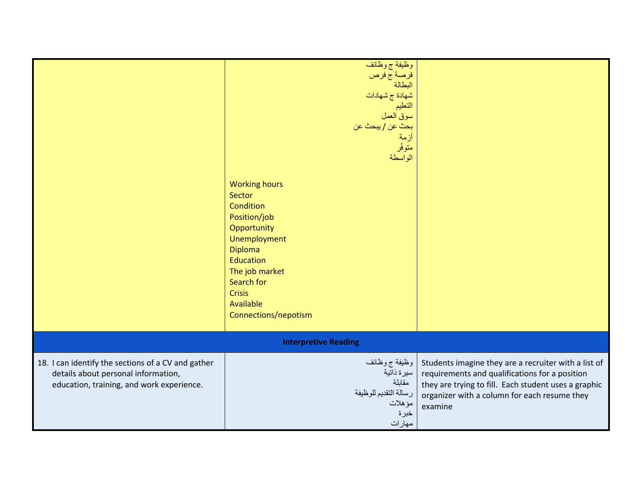|                                                                                                                                        | وظَّيفة ج وظائف<br>فرصة ج فرص<br>البطالة<br>شهادة ج شهادات<br>التعليم<br>سوق العمل<br>بحث عن / يبحث عن<br>أزمة<br>متوفّر<br>الواسطة<br><b>Working hours</b><br>Sector<br>Condition<br>Position/job<br>Opportunity<br>Unemployment<br><b>Diploma</b><br>Education<br>The job market<br>Search for<br><b>Crisis</b><br>Available<br>Connections/nepotism |                                                                                                                                                                                                                           |
|----------------------------------------------------------------------------------------------------------------------------------------|--------------------------------------------------------------------------------------------------------------------------------------------------------------------------------------------------------------------------------------------------------------------------------------------------------------------------------------------------------|---------------------------------------------------------------------------------------------------------------------------------------------------------------------------------------------------------------------------|
|                                                                                                                                        | <b>Interpretive Reading</b>                                                                                                                                                                                                                                                                                                                            |                                                                                                                                                                                                                           |
| 18. I can identify the sections of a CV and gather<br>details about personal information,<br>education, training, and work experience. | وظيفة ج وظائف<br>سيرة ذاتية<br>مقابلة<br>رسالة التقديم للوظيفة<br>مؤهلات<br>خبرة<br>مهارات                                                                                                                                                                                                                                                             | Students imagine they are a recruiter with a list of<br>requirements and qualifications for a position<br>they are trying to fill. Each student uses a graphic<br>organizer with a column for each resume they<br>examine |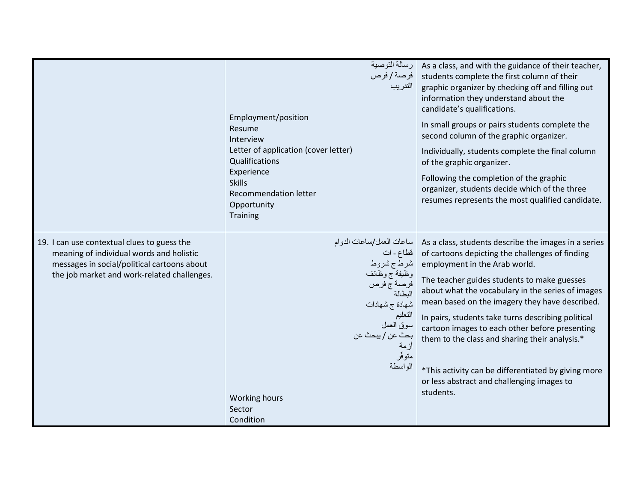|                                                                                                                                                                                       | رسالة التوصية<br>  فرصة / فرص<br>التدريب<br>Employment/position<br>Resume<br>Interview<br>Letter of application (cover letter)<br>Qualifications<br>Experience<br><b>Skills</b><br>Recommendation letter<br>Opportunity<br><b>Training</b> | As a class, and with the guidance of their teacher,<br>students complete the first column of their<br>graphic organizer by checking off and filling out<br>information they understand about the<br>candidate's qualifications.<br>In small groups or pairs students complete the<br>second column of the graphic organizer.<br>Individually, students complete the final column<br>of the graphic organizer.<br>Following the completion of the graphic<br>organizer, students decide which of the three<br>resumes represents the most qualified candidate.              |
|---------------------------------------------------------------------------------------------------------------------------------------------------------------------------------------|--------------------------------------------------------------------------------------------------------------------------------------------------------------------------------------------------------------------------------------------|----------------------------------------------------------------------------------------------------------------------------------------------------------------------------------------------------------------------------------------------------------------------------------------------------------------------------------------------------------------------------------------------------------------------------------------------------------------------------------------------------------------------------------------------------------------------------|
| 19. I can use contextual clues to guess the<br>meaning of individual words and holistic<br>messages in social/political cartoons about<br>the job market and work-related challenges. | ساعات العمل/ساعات الدوام<br>قطاع ـ ات<br>شرط ج شروط<br>وظيفة ج وظائف<br>فرصة ج فرص<br>البطالة<br>شهادة ج شهادات<br>التعليم<br>سوق العمل<br>  بحث عن / ببحث عن<br> أزمة<br>متوفّر<br>الواسطة<br>Working hours<br>Sector<br>Condition        | As a class, students describe the images in a series<br>of cartoons depicting the challenges of finding<br>employment in the Arab world.<br>The teacher guides students to make guesses<br>about what the vocabulary in the series of images<br>mean based on the imagery they have described.<br>In pairs, students take turns describing political<br>cartoon images to each other before presenting<br>them to the class and sharing their analysis.*<br>*This activity can be differentiated by giving more<br>or less abstract and challenging images to<br>students. |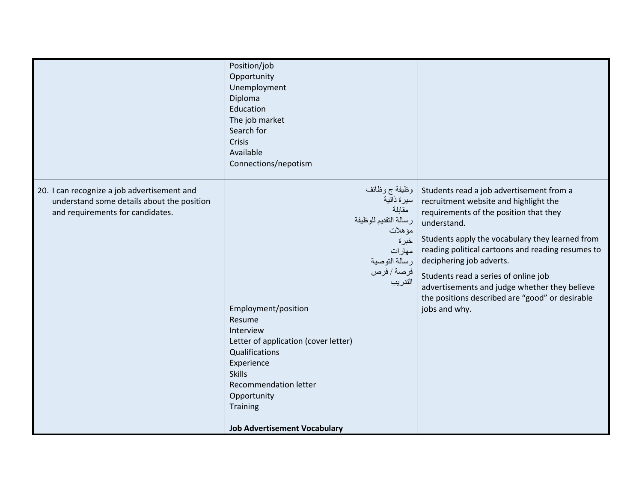|                                                                                                                               | Position/job<br>Opportunity<br>Unemployment<br>Diploma<br>Education<br>The job market<br>Search for<br>Crisis<br>Available<br>Connections/nepotism                                                                                                                                                                                                                                 |                                                                                                                                                                                                                                                                                                                                                                                                                                             |
|-------------------------------------------------------------------------------------------------------------------------------|------------------------------------------------------------------------------------------------------------------------------------------------------------------------------------------------------------------------------------------------------------------------------------------------------------------------------------------------------------------------------------|---------------------------------------------------------------------------------------------------------------------------------------------------------------------------------------------------------------------------------------------------------------------------------------------------------------------------------------------------------------------------------------------------------------------------------------------|
| 20. I can recognize a job advertisement and<br>understand some details about the position<br>and requirements for candidates. | وظيفة ج وظائف<br>  سيرة ذاتية<br>مقابلة<br>رسالة التقديم للوظيفة<br>مؤهلات<br>خبرة<br>مهار ات<br>رسالة التوصية<br>  فرصة / فرص<br>التدريب<br>Employment/position<br>Resume<br>Interview<br>Letter of application (cover letter)<br>Qualifications<br>Experience<br><b>Skills</b><br><b>Recommendation letter</b><br>Opportunity<br>Training<br><b>Job Advertisement Vocabulary</b> | Students read a job advertisement from a<br>recruitment website and highlight the<br>requirements of the position that they<br>understand.<br>Students apply the vocabulary they learned from<br>reading political cartoons and reading resumes to<br>deciphering job adverts.<br>Students read a series of online job<br>advertisements and judge whether they believe<br>the positions described are "good" or desirable<br>jobs and why. |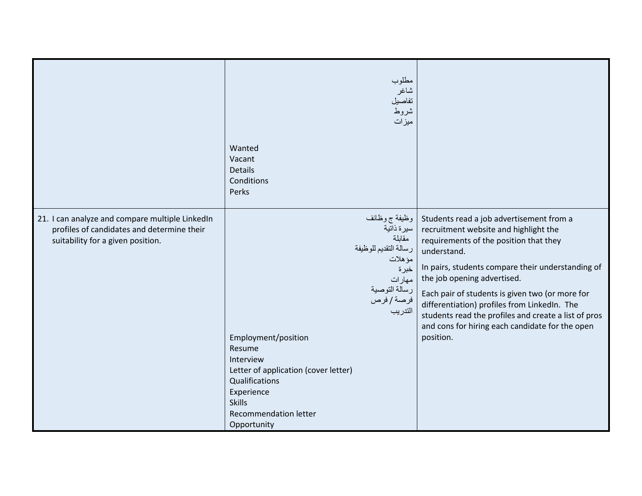|                                                                                                                                    | مطلوب<br>شاغر<br>تفاصيل<br>شروط<br>ميزات<br>Wanted<br>Vacant<br><b>Details</b><br>Conditions<br>Perks                                                                                                                                                                                                                    |                                                                                                                                                                                                                                                                                                                                                                                                                                                           |
|------------------------------------------------------------------------------------------------------------------------------------|--------------------------------------------------------------------------------------------------------------------------------------------------------------------------------------------------------------------------------------------------------------------------------------------------------------------------|-----------------------------------------------------------------------------------------------------------------------------------------------------------------------------------------------------------------------------------------------------------------------------------------------------------------------------------------------------------------------------------------------------------------------------------------------------------|
| 21. I can analyze and compare multiple LinkedIn<br>profiles of candidates and determine their<br>suitability for a given position. | وظيفة ج وظائف<br>سيرة ذاتية<br>مقابلة<br>رسالة التقديم للوظيفة<br>مؤهلات<br>خبرة<br>مهارات<br>رسالة التوصية<br>فرصة/فرص<br>التدريب<br>Employment/position<br>Resume<br>Interview<br>Letter of application (cover letter)<br>Qualifications<br>Experience<br><b>Skills</b><br><b>Recommendation letter</b><br>Opportunity | Students read a job advertisement from a<br>recruitment website and highlight the<br>requirements of the position that they<br>understand.<br>In pairs, students compare their understanding of<br>the job opening advertised.<br>Each pair of students is given two (or more for<br>differentiation) profiles from LinkedIn. The<br>students read the profiles and create a list of pros<br>and cons for hiring each candidate for the open<br>position. |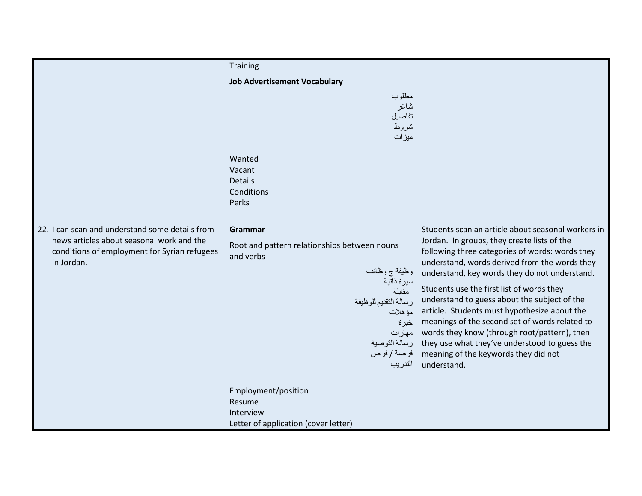|                                                                                                                                                            | Training                                                                                                                                                                                                       |                                                                                                                                                                                                                                                                                                                                                                                                                                                                                                                                                                                                               |
|------------------------------------------------------------------------------------------------------------------------------------------------------------|----------------------------------------------------------------------------------------------------------------------------------------------------------------------------------------------------------------|---------------------------------------------------------------------------------------------------------------------------------------------------------------------------------------------------------------------------------------------------------------------------------------------------------------------------------------------------------------------------------------------------------------------------------------------------------------------------------------------------------------------------------------------------------------------------------------------------------------|
|                                                                                                                                                            | <b>Job Advertisement Vocabulary</b>                                                                                                                                                                            |                                                                                                                                                                                                                                                                                                                                                                                                                                                                                                                                                                                                               |
|                                                                                                                                                            | مطلوب<br>شاغر<br>تفاصيل<br>شروط<br>ميزات                                                                                                                                                                       |                                                                                                                                                                                                                                                                                                                                                                                                                                                                                                                                                                                                               |
|                                                                                                                                                            | Wanted<br>Vacant<br><b>Details</b><br>Conditions<br>Perks                                                                                                                                                      |                                                                                                                                                                                                                                                                                                                                                                                                                                                                                                                                                                                                               |
| 22. I can scan and understand some details from<br>news articles about seasonal work and the<br>conditions of employment for Syrian refugees<br>in Jordan. | Grammar<br>Root and pattern relationships between nouns<br>and verbs<br>وظيفة ج وظائف<br>سيرة ذاتية<br>مقابلة<br>رسالة التقديم للوظيفة<br>مؤهلات<br>خبرة<br>مهارات<br>  رسالة التوصية<br>  فرصة/فرص<br>التدريب | Students scan an article about seasonal workers in<br>Jordan. In groups, they create lists of the<br>following three categories of words: words they<br>understand, words derived from the words they<br>understand, key words they do not understand.<br>Students use the first list of words they<br>understand to guess about the subject of the<br>article. Students must hypothesize about the<br>meanings of the second set of words related to<br>words they know (through root/pattern), then<br>they use what they've understood to guess the<br>meaning of the keywords they did not<br>understand. |
|                                                                                                                                                            | Employment/position<br>Resume<br>Interview<br>Letter of application (cover letter)                                                                                                                             |                                                                                                                                                                                                                                                                                                                                                                                                                                                                                                                                                                                                               |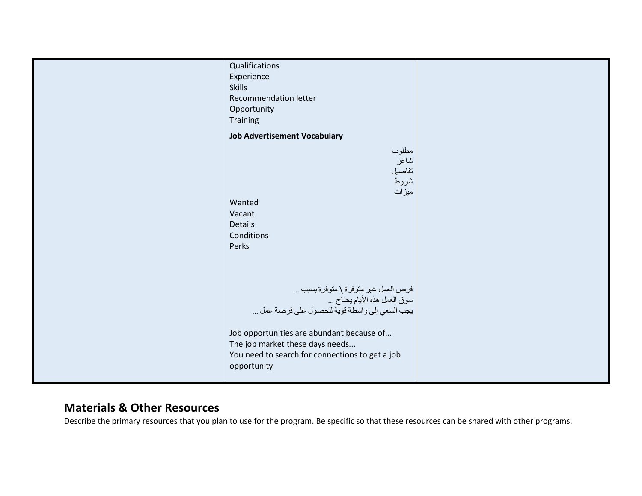| Qualifications                                                   |  |
|------------------------------------------------------------------|--|
| Experience                                                       |  |
| <b>Skills</b>                                                    |  |
| Recommendation letter                                            |  |
|                                                                  |  |
| Opportunity                                                      |  |
| Training                                                         |  |
| <b>Job Advertisement Vocabulary</b>                              |  |
|                                                                  |  |
| مطلوب                                                            |  |
| شاغر                                                             |  |
| تفاصيل                                                           |  |
| شروط                                                             |  |
| ميزات                                                            |  |
| Wanted                                                           |  |
|                                                                  |  |
| Vacant                                                           |  |
| Details                                                          |  |
| Conditions                                                       |  |
| Perks                                                            |  |
|                                                                  |  |
|                                                                  |  |
|                                                                  |  |
|                                                                  |  |
| فرص العمل غير متوفرة \ متوفرة بسبب<br>سوق العمل هذه الأيام يحتاج |  |
|                                                                  |  |
| يجب السعي إلى واسطة قوية للحصول على فرصة عمل                     |  |
|                                                                  |  |
|                                                                  |  |
| Job opportunities are abundant because of                        |  |
| The job market these days needs                                  |  |
| You need to search for connections to get a job                  |  |
| opportunity                                                      |  |
|                                                                  |  |
|                                                                  |  |

## Materials & Other Resources

Describe the primary resources that you plan to use for the program. Be specific so that these resources can be shared with other programs.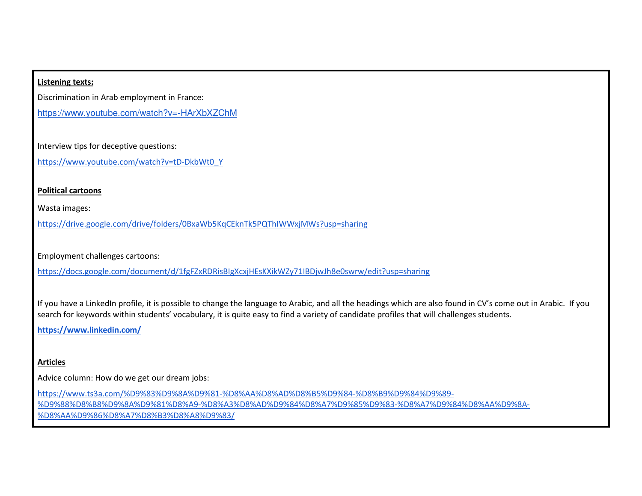#### Listening texts:

Discrimination in Arab employment in France:

https://www.youtube.com/watch?v=-HArXbXZChM

Interview tips for deceptive questions:

https://www.youtube.com/watch?v=tD-DkbWt0\_Y

#### Political cartoons

Wasta images:

https://drive.google.com/drive/folders/0BxaWb5KqCEknTk5PQThIWWxjMWs?usp=sharing

Employment challenges cartoons:

https://docs.google.com/document/d/1fgFZxRDRisBIgXcxjHEsKXikWZy71IBDjwJh8e0swrw/edit?usp=sharing

If you have a LinkedIn profile, it is possible to change the language to Arabic, and all the headings which are also found in CV's come out in Arabic. If you search for keywords within students' vocabulary, it is quite easy to find a variety of candidate profiles that will challenges students.

https://www.linkedin.com/

#### **Articles**

Advice column: How do we get our dream jobs:

https://www.ts3a.com/%D9%83%D9%8A%D9%81-%D8%AA%D8%AD%D8%B5%D9%84-%D8%B9%D9%84%D9%89- %D9%88%D8%B8%D9%8A%D9%81%D8%A9-%D8%A3%D8%AD%D9%84%D8%A7%D9%85%D9%83-%D8%A7%D9%84%D8%AA%D9%8A-%D8%AA%D9%86%D8%A7%D8%B3%D8%A8%D9%83/